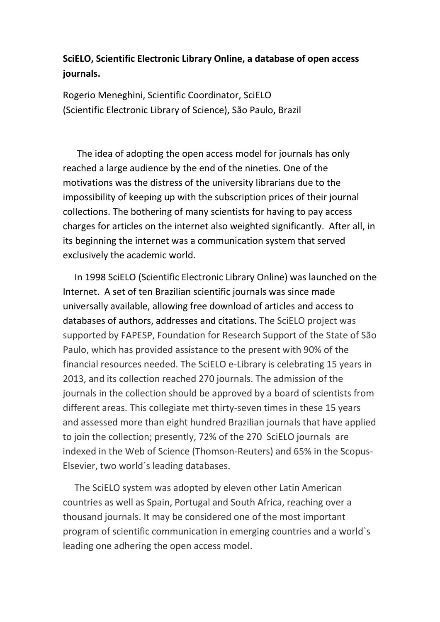# **SciELO, Scientific Electronic Library Online, a database of open access journals.**

Rogerio Meneghini, Scientific Coordinator, SciELO (Scientific Electronic Library of Science), São Paulo, Brazil

 The idea of adopting the open access model for journals has only reached a large audience by the end of the nineties. One of the motivations was the distress of the university librarians due to the impossibility of keeping up with the subscription prices of their journal collections. The bothering of many scientists for having to pay access charges for articles on the internet also weighted significantly. After all, in its beginning the internet was a communication system that served exclusively the academic world.

 In 1998 SciELO (Scientific Electronic Library Online) was launched on the Internet. A set of ten Brazilian scientific journals was since made universally available, allowing free download of articles and access to databases of authors, addresses and citations. The SciELO project was supported by FAPESP, Foundation for Research Support of the State of São Paulo, which has provided assistance to the present with 90% of the financial resources needed. The SciELO e-Library is celebrating 15 years in 2013, and its collection reached 270 journals. The admission of the journals in the collection should be approved by a board of scientists from different areas. This collegiate met thirty-seven times in these 15 years and assessed more than eight hundred Brazilian journals that have applied to join the collection; presently, 72% of the 270 SciELO journals are indexed in the Web of Science (Thomson-Reuters) and 65% in the Scopus-Elsevier, two world´s leading databases.

 The SciELO system was adopted by eleven other Latin American countries as well as Spain, Portugal and South Africa, reaching over a thousand journals. It may be considered one of the most important program of scientific communication in emerging countries and a world`s leading one adhering the open access model.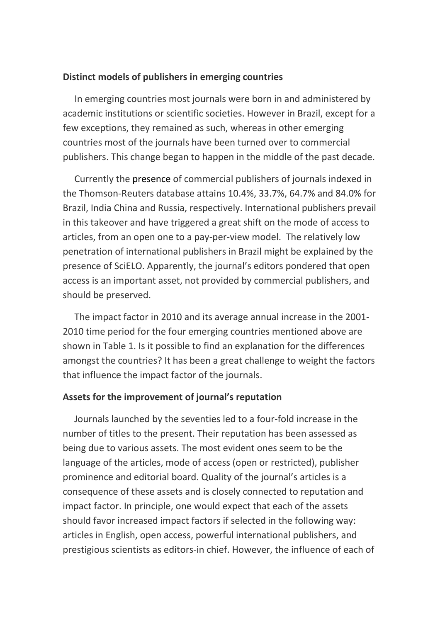#### **Distinct models of publishers in emerging countries**

 In emerging countries most journals were born in and administered by academic institutions or scientific societies. However in Brazil, except for a few exceptions, they remained as such, whereas in other emerging countries most of the journals have been turned over to commercial publishers. This change began to happen in the middle of the past decade.

 Currently the presence of commercial publishers of journals indexed in the Thomson-Reuters database attains 10.4%, 33.7%, 64.7% and 84.0% for Brazil, India China and Russia, respectively. International publishers prevail in this takeover and have triggered a great shift on the mode of access to articles, from an open one to a pay-per-view model. The relatively low penetration of international publishers in Brazil might be explained by the presence of SciELO. Apparently, the journal's editors pondered that open access is an important asset, not provided by commercial publishers, and should be preserved.

 The impact factor in 2010 and its average annual increase in the 2001- 2010 time period for the four emerging countries mentioned above are shown in Table 1. Is it possible to find an explanation for the differences amongst the countries? It has been a great challenge to weight the factors that influence the impact factor of the journals.

#### **Assets for the improvement of journal's reputation**

Journals launched by the seventies led to a four-fold increase in the number of titles to the present. Their reputation has been assessed as being due to various assets. The most evident ones seem to be the language of the articles, mode of access (open or restricted), publisher prominence and editorial board. Quality of the journal's articles is a consequence of these assets and is closely connected to reputation and impact factor. In principle, one would expect that each of the assets should favor increased impact factors if selected in the following way: articles in English, open access, powerful international publishers, and prestigious scientists as editors-in chief. However, the influence of each of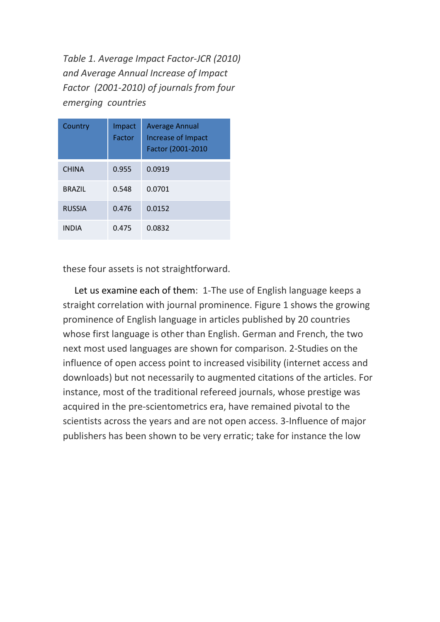*Table 1. Average Impact Factor-JCR (2010) and Average Annual Increase of Impact Factor (2001-2010) of journals from four emerging countries* 

| Country       | Impact<br>Factor | <b>Average Annual</b><br>Increase of Impact<br>Factor (2001-2010 |
|---------------|------------------|------------------------------------------------------------------|
| <b>CHINA</b>  | 0.955            | 0.0919                                                           |
| <b>BRAZIL</b> | 0.548            | 0.0701                                                           |
| <b>RUSSIA</b> | 0.476            | 0.0152                                                           |
| <b>INDIA</b>  | 0.475            | 0.0832                                                           |

these four assets is not straightforward.

 Let us examine each of them: 1-The use of English language keeps a straight correlation with journal prominence. Figure 1 shows the growing prominence of English language in articles published by 20 countries whose first language is other than English. German and French, the two next most used languages are shown for comparison. 2-Studies on the influence of open access point to increased visibility (internet access and downloads) but not necessarily to augmented citations of the articles. For instance, most of the traditional refereed journals, whose prestige was acquired in the pre-scientometrics era, have remained pivotal to the scientists across the years and are not open access. 3-Influence of major publishers has been shown to be very erratic; take for instance the low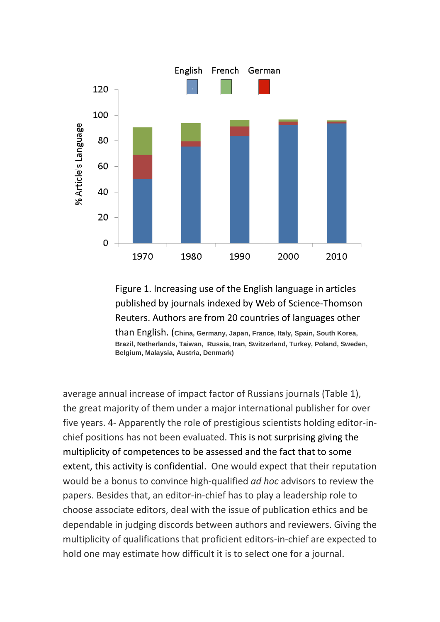

## Figure 1. Increasing use of the English language in articles published by journals indexed by Web of Science-Thomson Reuters. Authors are from 20 countries of languages other than English. (**China, Germany, Japan, France, Italy, Spain, South Korea, Brazil, Netherlands, Taiwan, Russia, Iran, Switzerland, Turkey, Poland, Sweden, Belgium, Malaysia, Austria, Denmark)**

average annual increase of impact factor of Russians journals (Table 1), the great majority of them under a major international publisher for over five years. 4- Apparently the role of prestigious scientists holding editor-inchief positions has not been evaluated. This is not surprising giving the multiplicity of competences to be assessed and the fact that to some extent, this activity is confidential. One would expect that their reputation would be a bonus to convince high-qualified *ad hoc* advisors to review the papers. Besides that, an editor-in-chief has to play a leadership role to choose associate editors, deal with the issue of publication ethics and be dependable in judging discords between authors and reviewers. Giving the multiplicity of qualifications that proficient editors-in-chief are expected to hold one may estimate how difficult it is to select one for a journal.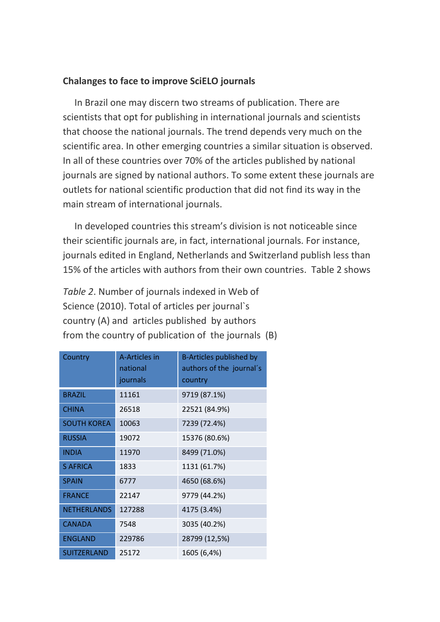### **Chalanges to face to improve SciELO journals**

 In Brazil one may discern two streams of publication. There are scientists that opt for publishing in international journals and scientists that choose the national journals. The trend depends very much on the scientific area. In other emerging countries a similar situation is observed. In all of these countries over 70% of the articles published by national journals are signed by national authors. To some extent these journals are outlets for national scientific production that did not find its way in the main stream of international journals.

 In developed countries this stream's division is not noticeable since their scientific journals are, in fact, international journals. For instance, journals edited in England, Netherlands and Switzerland publish less than 15% of the articles with authors from their own countries. Table 2 shows

*Table 2*. Number of journals indexed in Web of Science (2010). Total of articles per journal`s country (A) and articles published by authors from the country of publication of the journals (B)

| Country            | A-Articles in<br>national<br>journals | B-Articles published by<br>authors of the journal's<br>country |
|--------------------|---------------------------------------|----------------------------------------------------------------|
| <b>BRAZIL</b>      | 11161                                 | 9719 (87.1%)                                                   |
| <b>CHINA</b>       | 26518                                 | 22521 (84.9%)                                                  |
| <b>SOUTH KOREA</b> | 10063                                 | 7239 (72.4%)                                                   |
| <b>RUSSIA</b>      | 19072                                 | 15376 (80.6%)                                                  |
| <b>INDIA</b>       | 11970                                 | 8499 (71.0%)                                                   |
| <b>S AFRICA</b>    | 1833                                  | 1131 (61.7%)                                                   |
| <b>SPAIN</b>       | 6777                                  | 4650 (68.6%)                                                   |
| <b>FRANCE</b>      | 22147                                 | 9779 (44.2%)                                                   |
| <b>NETHERLANDS</b> | 127288                                | 4175 (3.4%)                                                    |
| <b>CANADA</b>      | 7548                                  | 3035 (40.2%)                                                   |
| <b>ENGLAND</b>     | 229786                                | 28799 (12,5%)                                                  |
| <b>SUITZERLAND</b> | 25172                                 | 1605 (6,4%)                                                    |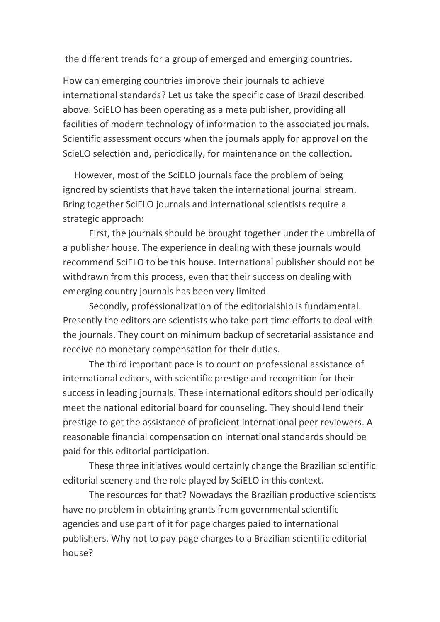the different trends for a group of emerged and emerging countries.

How can emerging countries improve their journals to achieve international standards? Let us take the specific case of Brazil described above. SciELO has been operating as a meta publisher, providing all facilities of modern technology of information to the associated journals. Scientific assessment occurs when the journals apply for approval on the ScieLO selection and, periodically, for maintenance on the collection.

 However, most of the SciELO journals face the problem of being ignored by scientists that have taken the international journal stream. Bring together SciELO journals and international scientists require a strategic approach:

First, the journals should be brought together under the umbrella of a publisher house. The experience in dealing with these journals would recommend SciELO to be this house. International publisher should not be withdrawn from this process, even that their success on dealing with emerging country journals has been very limited.

Secondly, professionalization of the editorialship is fundamental. Presently the editors are scientists who take part time efforts to deal with the journals. They count on minimum backup of secretarial assistance and receive no monetary compensation for their duties.

The third important pace is to count on professional assistance of international editors, with scientific prestige and recognition for their success in leading journals. These international editors should periodically meet the national editorial board for counseling. They should lend their prestige to get the assistance of proficient international peer reviewers. A reasonable financial compensation on international standards should be paid for this editorial participation.

These three initiatives would certainly change the Brazilian scientific editorial scenery and the role played by SciELO in this context.

The resources for that? Nowadays the Brazilian productive scientists have no problem in obtaining grants from governmental scientific agencies and use part of it for page charges paied to international publishers. Why not to pay page charges to a Brazilian scientific editorial house?